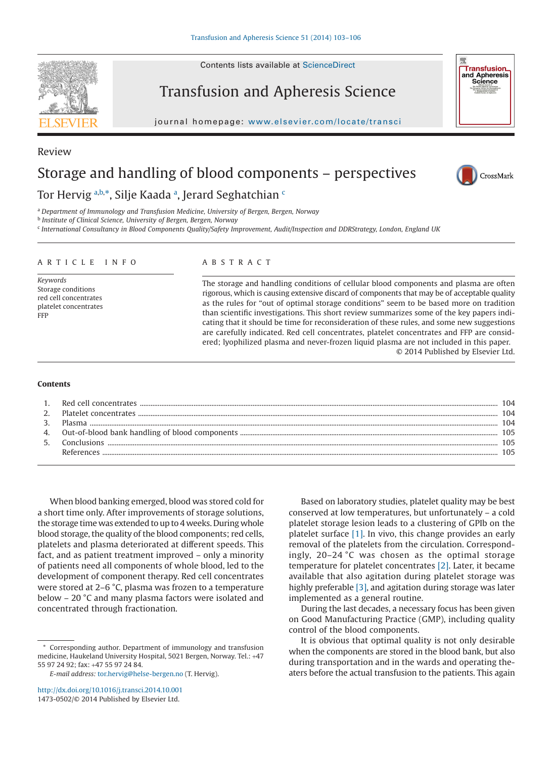Contents lists available at [ScienceDirect](http://www.sciencedirect.com/science/journal/01678809)

# Transfusion and Apheresis Science

journal homepage: [www.elsevier.com/locate/transci](http://www.elsevier.com/locate/transci)



<span id="page-0-0"></span><sup>a</sup> *Department of Immunology and Transfusion Medicine, University of Bergen, Bergen, Norway*

<span id="page-0-1"></span><sup>b</sup> *Institute of Clinical Science, University of Bergen, Bergen, Norway*

<span id="page-0-3"></span><sup>c</sup> *International Consultancy in Blood Components Quality/Safety Improvement, Audit/Inspection and DDRStrategy, London, England UK*

#### ARTICLE INFO

*Keywords* Storage conditions red cell concentrates platelet concentrates FFP

## ABSTRACT

The storage and handling conditions of cellular blood components and plasma are often rigorous, which is causing extensive discard of components that may be of acceptable quality as the rules for "out of optimal storage conditions" seem to be based more on tradition than scientific investigations. This short review summarizes some of the key papers indicating that it should be time for reconsideration of these rules, and some new suggestions are carefully indicated. Red cell concentrates, platelet concentrates and FFP are considered; lyophilized plasma and never-frozen liquid plasma are not included in this paper. © 2014 Published by Elsevier Ltd.

#### **Contents**

| $\mathcal{R}$ |             |  |
|---------------|-------------|--|
| 4.            |             |  |
| 5.            | Conclusions |  |
|               | References  |  |

When blood banking emerged, blood was stored cold for a short time only. After improvements of storage solutions, the storage time was extended to up to 4 weeks. During whole blood storage, the quality of the blood components; red cells, platelets and plasma deteriorated at different speeds. This fact, and as patient treatment improved – only a minority of patients need all components of whole blood, led to the development of component therapy. Red cell concentrates were stored at 2–6 °C, plasma was frozen to a temperature below – 20 °C and many plasma factors were isolated and concentrated through fractionation.

Based on laboratory studies, platelet quality may be best conserved at low temperatures, but unfortunately – a cold platelet storage lesion leads to a clustering of GPIb on the platelet surface [\[1\].](#page-2-0) In vivo, this change provides an early removal of the platelets from the circulation. Correspondingly, 20–24 °C was chosen as the optimal storage temperature for platelet concentrates [\[2\].](#page-2-1) Later, it became available that also agitation during platelet storage was highly preferable [\[3\],](#page-2-2) and agitation during storage was later implemented as a general routine.

During the last decades, a necessary focus has been given on Good Manufacturing Practice (GMP), including quality control of the blood components.

It is obvious that optimal quality is not only desirable when the components are stored in the blood bank, but also during transportation and in the wards and operating theaters before the actual transfusion to the patients. This again



Review



**Transfusion** and Apheresis<br>Science

<span id="page-0-2"></span><sup>\*</sup> Corresponding author. Department of immunology and transfusion medicine, Haukeland University Hospital, 5021 Bergen, Norway. Tel.: +47 55 97 24 92; fax: +47 55 97 24 84.

*E-mail address:* [tor.hervig@helse-bergen.no](mailto:tor.hervig@helse-bergen.no) (T. Hervig).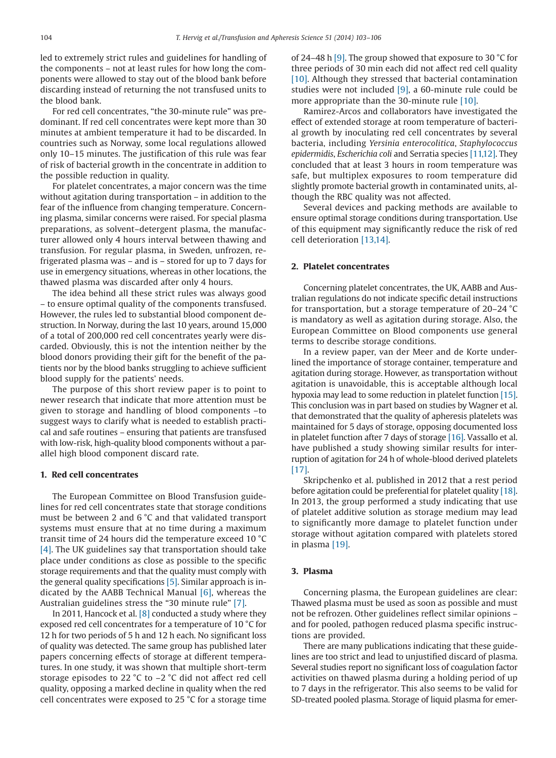led to extremely strict rules and guidelines for handling of the components – not at least rules for how long the components were allowed to stay out of the blood bank before discarding instead of returning the not transfused units to the blood bank.

For red cell concentrates, "the 30-minute rule" was predominant. If red cell concentrates were kept more than 30 minutes at ambient temperature it had to be discarded. In countries such as Norway, some local regulations allowed only 10–15 minutes. The justification of this rule was fear of risk of bacterial growth in the concentrate in addition to the possible reduction in quality.

For platelet concentrates, a major concern was the time without agitation during transportation – in addition to the fear of the influence from changing temperature. Concerning plasma, similar concerns were raised. For special plasma preparations, as solvent–detergent plasma, the manufacturer allowed only 4 hours interval between thawing and transfusion. For regular plasma, in Sweden, unfrozen, refrigerated plasma was – and is – stored for up to 7 days for use in emergency situations, whereas in other locations, the thawed plasma was discarded after only 4 hours.

The idea behind all these strict rules was always good – to ensure optimal quality of the components transfused. However, the rules led to substantial blood component destruction. In Norway, during the last 10 years, around 15,000 of a total of 200,000 red cell concentrates yearly were discarded. Obviously, this is not the intention neither by the blood donors providing their gift for the benefit of the patients nor by the blood banks struggling to achieve sufficient blood supply for the patients' needs.

The purpose of this short review paper is to point to newer research that indicate that more attention must be given to storage and handling of blood components –to suggest ways to clarify what is needed to establish practical and safe routines – ensuring that patients are transfused with low-risk, high-quality blood components without a parallel high blood component discard rate.

## **1. Red cell concentrates**

The European Committee on Blood Transfusion guidelines for red cell concentrates state that storage conditions must be between 2 and 6 °C and that validated transport systems must ensure that at no time during a maximum transit time of 24 hours did the temperature exceed 10 °C [\[4\].](#page-2-3) The UK guidelines say that transportation should take place under conditions as close as possible to the specific storage requirements and that the quality must comply with the general quality specifications [\[5\].](#page-2-4) Similar approach is indicated by the AABB Technical Manual  $[6]$ , whereas the Australian guidelines stress the "30 minute rule" [\[7\].](#page-2-6)

In 2011, Hancock et al. [\[8\]](#page-2-7) conducted a study where they exposed red cell concentrates for a temperature of 10 °C for 12 h for two periods of 5 h and 12 h each. No significant loss of quality was detected. The same group has published later papers concerning effects of storage at different temperatures. In one study, it was shown that multiple short-term storage episodes to 22 °C to –2 °C did not affect red cell quality, opposing a marked decline in quality when the red cell concentrates were exposed to 25 °C for a storage time

of 24–48 h [\[9\].](#page-2-8) The group showed that exposure to 30 °C for three periods of 30 min each did not affect red cell quality [\[10\].](#page-2-9) Although they stressed that bacterial contamination studies were not included [\[9\],](#page-2-8) a 60-minute rule could be more appropriate than the 30-minute rule [\[10\].](#page-2-9)

Ramirez-Arcos and collaborators have investigated the effect of extended storage at room temperature of bacterial growth by inoculating red cell concentrates by several bacteria, including *Yersinia enterocolitica*, *Staphylococcus epidermidis*, *Escherichia coli* and Serratia species [\[11,12\].](#page-2-10) They concluded that at least 3 hours in room temperature was safe, but multiplex exposures to room temperature did slightly promote bacterial growth in contaminated units, although the RBC quality was not affected.

Several devices and packing methods are available to ensure optimal storage conditions during transportation. Use of this equipment may significantly reduce the risk of red cell deterioration [\[13,14\].](#page-2-11)

# **2. Platelet concentrates**

Concerning platelet concentrates, the UK, AABB and Australian regulations do not indicate specific detail instructions for transportation, but a storage temperature of 20–24 °C is mandatory as well as agitation during storage. Also, the European Committee on Blood components use general terms to describe storage conditions.

In a review paper, van der Meer and de Korte underlined the importance of storage container, temperature and agitation during storage. However, as transportation without agitation is unavoidable, this is acceptable although local hypoxia may lead to some reduction in platelet function [\[15\].](#page-2-12) This conclusion was in part based on studies by Wagner et al. that demonstrated that the quality of apheresis platelets was maintained for 5 days of storage, opposing documented loss in platelet function after 7 days of storage [\[16\].](#page-2-13) Vassallo et al. have published a study showing similar results for interruption of agitation for 24 h of whole-blood derived platelets [\[17\].](#page-2-14)

Skripchenko et al. published in 2012 that a rest period before agitation could be preferential for platelet quality [\[18\].](#page-2-15) In 2013, the group performed a study indicating that use of platelet additive solution as storage medium may lead to significantly more damage to platelet function under storage without agitation compared with platelets stored in plasma [\[19\].](#page-2-16)

# **3. Plasma**

Concerning plasma, the European guidelines are clear: Thawed plasma must be used as soon as possible and must not be refrozen. Other guidelines reflect similar opinions – and for pooled, pathogen reduced plasma specific instructions are provided.

There are many publications indicating that these guidelines are too strict and lead to unjustified discard of plasma. Several studies report no significant loss of coagulation factor activities on thawed plasma during a holding period of up to 7 days in the refrigerator. This also seems to be valid for SD-treated pooled plasma. Storage of liquid plasma for emer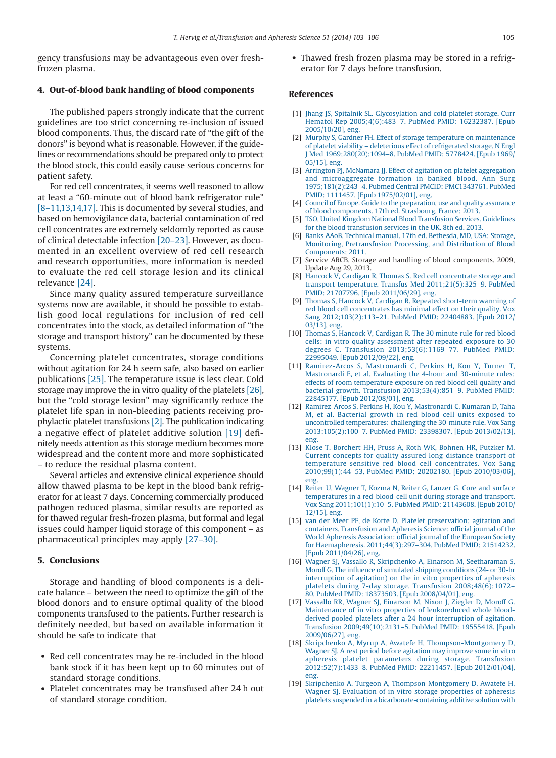gency transfusions may be advantageous even over freshfrozen plasma.

## **4. Out-of-blood bank handling of blood components**

The published papers strongly indicate that the current guidelines are too strict concerning re-inclusion of issued blood components. Thus, the discard rate of "the gift of the donors" is beyond what is reasonable. However, if the guidelines or recommendations should be prepared only to protect the blood stock, this could easily cause serious concerns for patient safety.

For red cell concentrates, it seems well reasoned to allow at least a "60-minute out of blood bank refrigerator rule" [\[8–11,13,14,17\].](#page-2-7) This is documented by several studies, and based on hemovigilance data, bacterial contamination of red cell concentrates are extremely seldomly reported as cause of clinical detectable infection [\[20–23\].](#page-3-0) However, as documented in an excellent overview of red cell research and research opportunities, more information is needed to evaluate the red cell storage lesion and its clinical relevance [\[24\].](#page-3-1)

Since many quality assured temperature surveillance systems now are available, it should be possible to establish good local regulations for inclusion of red cell concentrates into the stock, as detailed information of "the storage and transport history" can be documented by these systems.

Concerning platelet concentrates, storage conditions without agitation for 24 h seem safe, also based on earlier publications [\[25\].](#page-3-2) The temperature issue is less clear. Cold storage may improve the in vitro quality of the platelets [\[26\],](#page-3-3) but the "cold storage lesion" may significantly reduce the platelet life span in non-bleeding patients receiving prophylactic platelet transfusions [\[2\].](#page-2-1) The publication indicating a negative effect of platelet additive solution [\[19\]](#page-2-16) definitely needs attention as this storage medium becomes more widespread and the content more and more sophisticated – to reduce the residual plasma content.

Several articles and extensive clinical experience should allow thawed plasma to be kept in the blood bank refrigerator for at least 7 days. Concerning commercially produced pathogen reduced plasma, similar results are reported as for thawed regular fresh-frozen plasma, but formal and legal issues could hamper liquid storage of this component – as pharmaceutical principles may apply [\[27–30\].](#page-3-4)

## **5. Conclusions**

Storage and handling of blood components is a delicate balance – between the need to optimize the gift of the blood donors and to ensure optimal quality of the blood components transfused to the patients. Further research is definitely needed, but based on available information it should be safe to indicate that

- Red cell concentrates may be re-included in the blood bank stock if it has been kept up to 60 minutes out of standard storage conditions.
- Platelet concentrates may be transfused after 24 h out of standard storage condition.

• Thawed fresh frozen plasma may be stored in a refrigerator for 7 days before transfusion.

## **References**

- <span id="page-2-0"></span>[1] [Jhang JS, Spitalnik SL. Glycosylation and cold platelet storage. Curr](http://refhub.elsevier.com/S1473-0502(14)00170-0/sr0010) Hematol Rep 2005;4(6):483–7. [PubMed PMID: 16232387. \[Epub](http://refhub.elsevier.com/S1473-0502(14)00170-0/sr0010) [2005/10/20\], eng.](http://refhub.elsevier.com/S1473-0502(14)00170-0/sr0010)
- <span id="page-2-1"></span>[2] [Murphy S, Gardner FH. Effect of storage temperature on maintenance](http://refhub.elsevier.com/S1473-0502(14)00170-0/sr0015) [of platelet viability – deleterious effect of refrigerated storage. N Engl](http://refhub.elsevier.com/S1473-0502(14)00170-0/sr0015) J Med 1969;280(20):1094–8. [PubMed PMID: 5778424. \[Epub 1969/](http://refhub.elsevier.com/S1473-0502(14)00170-0/sr0015) [05/15\], eng.](http://refhub.elsevier.com/S1473-0502(14)00170-0/sr0015)
- <span id="page-2-2"></span>[3] [Arrington PJ, McNamara JJ. Effect of agitation on platelet aggregation](http://refhub.elsevier.com/S1473-0502(14)00170-0/sr0020) [and microaggregate formation in banked blood. Ann Surg](http://refhub.elsevier.com/S1473-0502(14)00170-0/sr0020) [1975;181\(2\):243–4. Pubmed Central PMCID: PMC1343761,](http://refhub.elsevier.com/S1473-0502(14)00170-0/sr0020) PubMed [PMID: 1111457. \[Epub 1975/02/01\], eng.](http://refhub.elsevier.com/S1473-0502(14)00170-0/sr0020)
- <span id="page-2-3"></span>[4] [Council of Europe. Guide to the preparation, use and quality assurance](http://refhub.elsevier.com/S1473-0502(14)00170-0/sr0025) [of blood components. 17th ed. Strasbourg, France: 2013.](http://refhub.elsevier.com/S1473-0502(14)00170-0/sr0025)
- <span id="page-2-4"></span>[5] [TSO, United Kingdom National Blood Transfusion Services. Guidelines](http://refhub.elsevier.com/S1473-0502(14)00170-0/sr0030) [for the blood transfusion services in the UK. 8th ed. 2013.](http://refhub.elsevier.com/S1473-0502(14)00170-0/sr0030)
- <span id="page-2-5"></span>[6] [Banks AAoB. Technical manual. 17th ed. Bethesda, MD, USA: Storage,](http://refhub.elsevier.com/S1473-0502(14)00170-0/sr0035) [Monitoring, Pretransfusion Processing, and Distribution of Blood](http://refhub.elsevier.com/S1473-0502(14)00170-0/sr0035) [Components; 2011.](http://refhub.elsevier.com/S1473-0502(14)00170-0/sr0035)
- <span id="page-2-6"></span>[7] Service ARCB. Storage and handling of blood components. 2009, Update Aug 29, 2013.
- <span id="page-2-7"></span>[8] [Hancock V, Cardigan R, Thomas S. Red cell concentrate storage and](http://refhub.elsevier.com/S1473-0502(14)00170-0/sr0040) [transport temperature. Transfus Med 2011;21\(5\):325–9.](http://refhub.elsevier.com/S1473-0502(14)00170-0/sr0040) PubMed [PMID: 21707796. \[Epub 2011/06/29\], eng.](http://refhub.elsevier.com/S1473-0502(14)00170-0/sr0040)
- <span id="page-2-8"></span>[9] [Thomas S, Hancock V, Cardigan R. Repeated short-term warming of](http://refhub.elsevier.com/S1473-0502(14)00170-0/sr0045) [red blood cell concentrates has minimal effect on their quality. Vox](http://refhub.elsevier.com/S1473-0502(14)00170-0/sr0045) Sang 2012;103(2):113–21. [PubMed PMID: 22404883. \[Epub 2012/](http://refhub.elsevier.com/S1473-0502(14)00170-0/sr0045) [03/13\], eng.](http://refhub.elsevier.com/S1473-0502(14)00170-0/sr0045)
- <span id="page-2-9"></span>[10] [Thomas S, Hancock V, Cardigan R. The 30 minute rule for red blood](http://refhub.elsevier.com/S1473-0502(14)00170-0/sr0050) [cells: in vitro quality assessment after repeated exposure to 30](http://refhub.elsevier.com/S1473-0502(14)00170-0/sr0050) [degrees C. Transfusion 2013;53\(6\):1169–77.](http://refhub.elsevier.com/S1473-0502(14)00170-0/sr0050) PubMed PMID: [22995049. \[Epub 2012/09/22\], eng.](http://refhub.elsevier.com/S1473-0502(14)00170-0/sr0050)
- <span id="page-2-10"></span>[11] [Ramirez-Arcos S, Mastronardi C, Perkins H, Kou Y, Turner T,](http://refhub.elsevier.com/S1473-0502(14)00170-0/sr0055) [Mastronardi E, et al. Evaluating the 4-hour and 30-minute rules:](http://refhub.elsevier.com/S1473-0502(14)00170-0/sr0055) [effects of room temperature exposure on red blood cell quality and](http://refhub.elsevier.com/S1473-0502(14)00170-0/sr0055) [bacterial growth. Transfusion 2013;53\(4\):851–9.](http://refhub.elsevier.com/S1473-0502(14)00170-0/sr0055) PubMed PMID: [22845177. \[Epub 2012/08/01\], eng.](http://refhub.elsevier.com/S1473-0502(14)00170-0/sr0055)
- [12] [Ramirez-Arcos S, Perkins H, Kou Y, Mastronardi C, Kumaran D, Taha](http://refhub.elsevier.com/S1473-0502(14)00170-0/sr0060) [M, et al. Bacterial growth in red blood cell units exposed to](http://refhub.elsevier.com/S1473-0502(14)00170-0/sr0060) [uncontrolled temperatures: challenging the 30-minute rule. Vox Sang](http://refhub.elsevier.com/S1473-0502(14)00170-0/sr0060) 2013;105(2):100–7. [PubMed PMID: 23398307. \[Epub 2013/02/13\],](http://refhub.elsevier.com/S1473-0502(14)00170-0/sr0060) [eng.](http://refhub.elsevier.com/S1473-0502(14)00170-0/sr0060)
- <span id="page-2-11"></span>[13] [Klose T, Borchert HH, Pruss A, Roth WK, Bohnen HR, Putzker M.](http://refhub.elsevier.com/S1473-0502(14)00170-0/sr0065) [Current concepts for quality assured long-distance transport of](http://refhub.elsevier.com/S1473-0502(14)00170-0/sr0065) [temperature-sensitive red blood cell concentrates. Vox Sang](http://refhub.elsevier.com/S1473-0502(14)00170-0/sr0065) 2010;99(1):44–53. [PubMed PMID: 20202180. \[Epub 2010/03/06\],](http://refhub.elsevier.com/S1473-0502(14)00170-0/sr0065) [eng.](http://refhub.elsevier.com/S1473-0502(14)00170-0/sr0065)
- [14] Reiter U, Wagner T, Kozma N, Reiter G, Lanzer G, Core and surface [temperatures in a red-blood-cell unit during storage and transport.](http://refhub.elsevier.com/S1473-0502(14)00170-0/sr0070) Vox Sang 2011;101(1):10–5. [PubMed PMID: 21143608. \[Epub 2010/](http://refhub.elsevier.com/S1473-0502(14)00170-0/sr0070) [12/15\], eng.](http://refhub.elsevier.com/S1473-0502(14)00170-0/sr0070)
- <span id="page-2-12"></span>[15] [van der Meer PF, de Korte D. Platelet preservation: agitation and](http://refhub.elsevier.com/S1473-0502(14)00170-0/sr0075) [containers. Transfusion and Apheresis Science: official journal of the](http://refhub.elsevier.com/S1473-0502(14)00170-0/sr0075) [World Apheresis Association: official journal of the European Society](http://refhub.elsevier.com/S1473-0502(14)00170-0/sr0075) [for Haemapheresis. 2011;44\(3\):297–304.](http://refhub.elsevier.com/S1473-0502(14)00170-0/sr0075) PubMed PMID: 21514232. [\[Epub 2011/04/26\], eng.](http://refhub.elsevier.com/S1473-0502(14)00170-0/sr0075)
- <span id="page-2-13"></span>[16] [Wagner SJ, Vassallo R, Skripchenko A, Einarson M, Seetharaman S,](http://refhub.elsevier.com/S1473-0502(14)00170-0/sr0080) [Moroff G. The influence of simulated shipping conditions \(24- or 30-hr](http://refhub.elsevier.com/S1473-0502(14)00170-0/sr0080) [interruption of agitation\) on the in vitro properties of apheresis](http://refhub.elsevier.com/S1473-0502(14)00170-0/sr0080) [platelets during 7-day storage. Transfusion 2008;48\(6\):1072–](http://refhub.elsevier.com/S1473-0502(14)00170-0/sr0080) 80. [PubMed PMID: 18373503. \[Epub 2008/04/01\], eng.](http://refhub.elsevier.com/S1473-0502(14)00170-0/sr0080)
- <span id="page-2-14"></span>[17] [Vassallo RR, Wagner SJ, Einarson M, Nixon J, Ziegler D, Moroff G.](http://refhub.elsevier.com/S1473-0502(14)00170-0/sr0085) [Maintenance of in vitro properties of leukoreduced whole blood](http://refhub.elsevier.com/S1473-0502(14)00170-0/sr0085)[derived pooled platelets after a 24-hour interruption of agitation.](http://refhub.elsevier.com/S1473-0502(14)00170-0/sr0085) [Transfusion 2009;49\(10\):2131–5.](http://refhub.elsevier.com/S1473-0502(14)00170-0/sr0085) PubMed PMID: 19555418. [Epub [2009/06/27\], eng.](http://refhub.elsevier.com/S1473-0502(14)00170-0/sr0085)
- <span id="page-2-15"></span>[18] [Skripchenko A, Myrup A, Awatefe H, Thompson-Montgomery D,](http://refhub.elsevier.com/S1473-0502(14)00170-0/sr0090) [Wagner SJ. A rest period before agitation may improve some in vitro](http://refhub.elsevier.com/S1473-0502(14)00170-0/sr0090) [apheresis platelet parameters during storage. Transfusion](http://refhub.elsevier.com/S1473-0502(14)00170-0/sr0090) 2012;52(7):1433–8. [PubMed PMID: 22211457. \[Epub 2012/01/04\],](http://refhub.elsevier.com/S1473-0502(14)00170-0/sr0090) [eng.](http://refhub.elsevier.com/S1473-0502(14)00170-0/sr0090)
- <span id="page-2-16"></span>[19] [Skripchenko A, Turgeon A, Thompson-Montgomery D, Awatefe H,](http://refhub.elsevier.com/S1473-0502(14)00170-0/sr0095) [Wagner SJ. Evaluation of in vitro storage properties of apheresis](http://refhub.elsevier.com/S1473-0502(14)00170-0/sr0095) [platelets suspended in a bicarbonate-containing additive solution with](http://refhub.elsevier.com/S1473-0502(14)00170-0/sr0095)